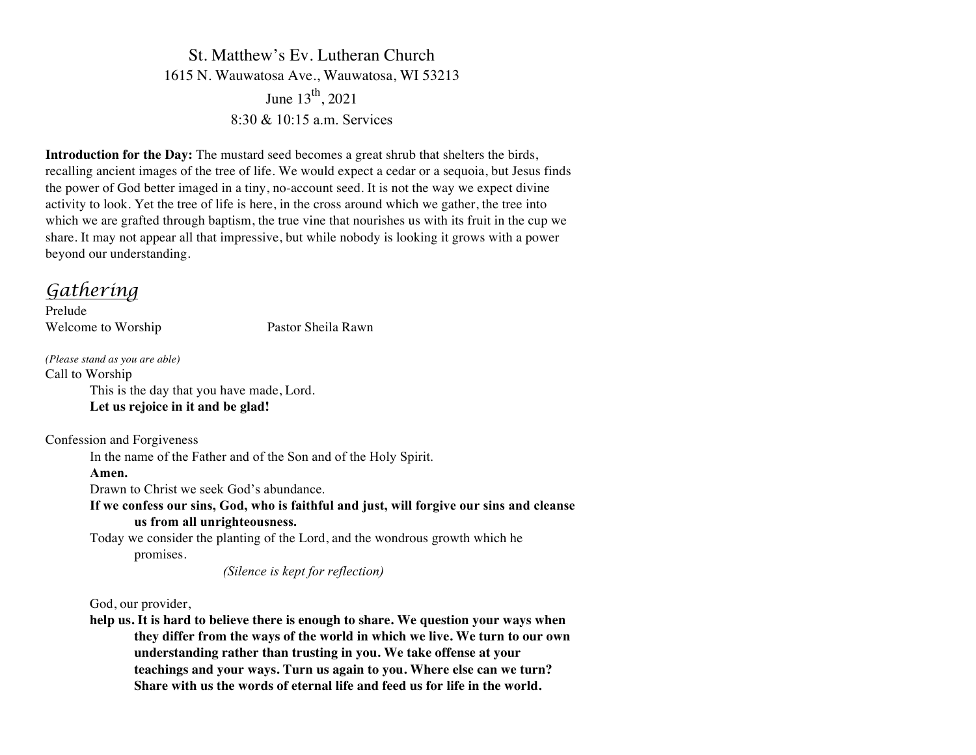St. Matthew's Ev. Lutheran Church 1615 N. Wauwatosa Ave., Wauwatosa, WI 53213 June  $13^{th}$ , 2021 8:30 & 10:15 a.m. Services

**Introduction for the Day:** The mustard seed becomes a great shrub that shelters the birds, recalling ancient images of the tree of life. We would expect a cedar or a sequoia, but Jesus finds the power of God better imaged in a tiny, no-account seed. It is not the way we expect divine activity to look. Yet the tree of life is here, in the cross around which we gather, the tree into which we are grafted through baptism, the true vine that nourishes us with its fruit in the cup we share. It may not appear all that impressive, but while nobody is looking it grows with a power beyond our understanding.

# *Gathering*

Prelude Welcome to Worship Pastor Sheila Rawn

*(Please stand as you are able)* Call to Worship This is the day that you have made, Lord. **Let us rejoice in it and be glad!**

Confession and Forgiveness

In the name of the Father and of the Son and of the Holy Spirit.

#### **Amen.**

Drawn to Christ we seek God's abundance.

**If we confess our sins, God, who is faithful and just, will forgive our sins and cleanse us from all unrighteousness.**

Today we consider the planting of the Lord, and the wondrous growth which he promises.

*(Silence is kept for reflection)*

God, our provider,

**help us. It is hard to believe there is enough to share. We question your ways when they differ from the ways of the world in which we live. We turn to our own understanding rather than trusting in you. We take offense at your teachings and your ways. Turn us again to you. Where else can we turn? Share with us the words of eternal life and feed us for life in the world.**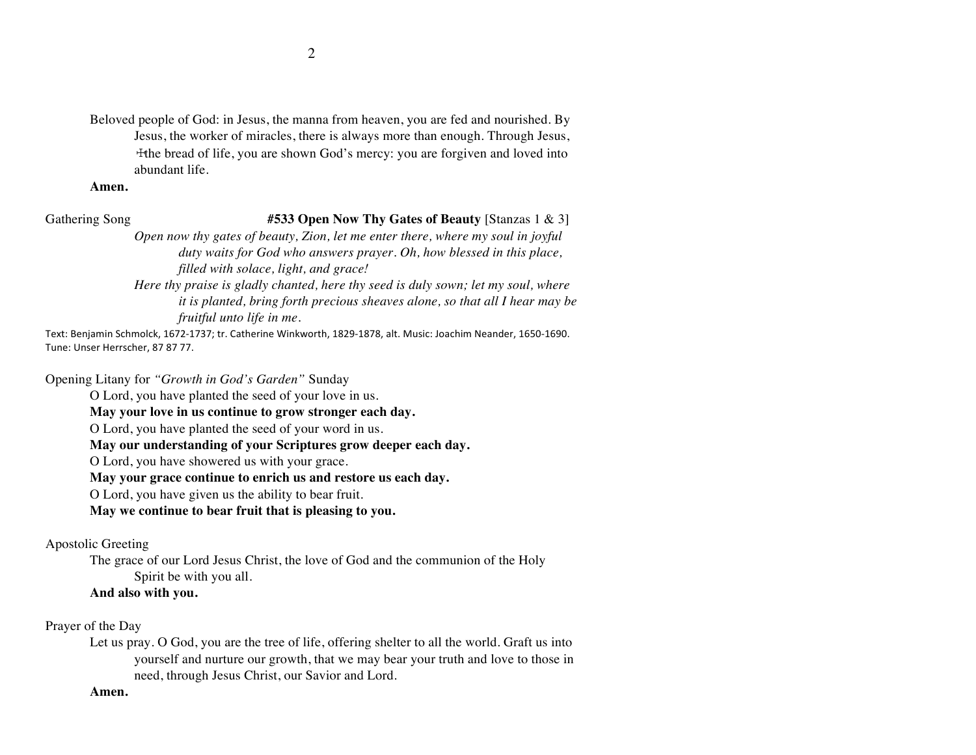Beloved people of God: in Jesus, the manna from heaven, you are fed and nourished. By Jesus, the worker of miracles, there is always more than enough. Through Jesus, ☩the bread of life, you are shown God's mercy: you are forgiven and loved into abundant life.

#### **Amen.**

Gathering Song **#533 Open Now Thy Gates of Beauty** [Stanzas 1 & 3]

*Open now thy gates of beauty, Zion, let me enter there, where my soul in joyful duty waits for God who answers prayer. Oh, how blessed in this place, filled with solace, light, and grace!*

*Here thy praise is gladly chanted, here thy seed is duly sown; let my soul, where it is planted, bring forth precious sheaves alone, so that all I hear may be fruitful unto life in me.*

Text: Benjamin Schmolck, 1672-1737; tr. Catherine Winkworth, 1829-1878, alt. Music: Joachim Neander, 1650-1690. Tune: Unser Herrscher, 87 87 77.

Opening Litany for *"Growth in God's Garden"* Sunday

O Lord, you have planted the seed of your love in us.

**May your love in us continue to grow stronger each day.**

O Lord, you have planted the seed of your word in us.

**May our understanding of your Scriptures grow deeper each day.**

O Lord, you have showered us with your grace.

**May your grace continue to enrich us and restore us each day.**

O Lord, you have given us the ability to bear fruit.

**May we continue to bear fruit that is pleasing to you.**

Apostolic Greeting

The grace of our Lord Jesus Christ, the love of God and the communion of the Holy Spirit be with you all.

#### **And also with you.**

Prayer of the Day

Let us pray. O God, you are the tree of life, offering shelter to all the world. Graft us into yourself and nurture our growth, that we may bear your truth and love to those in need, through Jesus Christ, our Savior and Lord.

#### **Amen.**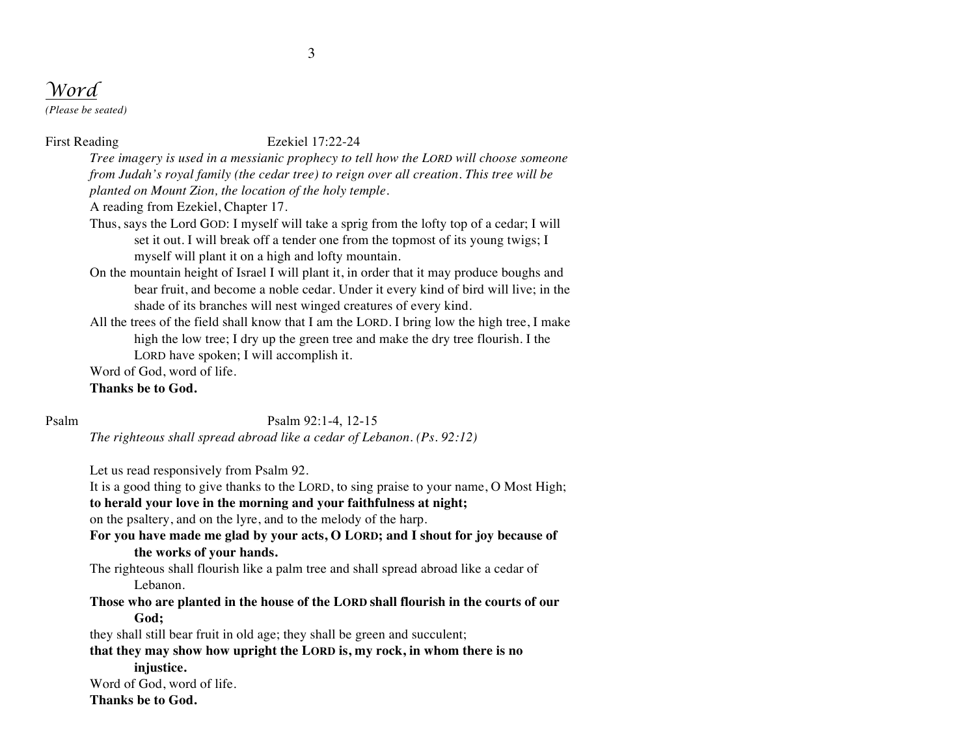# *Word*

*(Please be seated)*

#### First Reading Ezekiel 17:22-24

*Tree imagery is used in a messianic prophecy to tell how the LORD will choose someone from Judah's royal family (the cedar tree) to reign over all creation. This tree will be planted on Mount Zion, the location of the holy temple.*

A reading from Ezekiel, Chapter 17.

- Thus, says the Lord GOD: I myself will take a sprig from the lofty top of a cedar; I will set it out. I will break off a tender one from the topmost of its young twigs; I myself will plant it on a high and lofty mountain.
- On the mountain height of Israel I will plant it, in order that it may produce boughs and bear fruit, and become a noble cedar. Under it every kind of bird will live; in the shade of its branches will nest winged creatures of every kind.
- All the trees of the field shall know that I am the LORD. I bring low the high tree, I make high the low tree; I dry up the green tree and make the dry tree flourish. I the LORD have spoken; I will accomplish it.

Word of God, word of life.

#### **Thanks be to God.**

Psalm Psalm 92:1-4, 12-15

*The righteous shall spread abroad like a cedar of Lebanon. (Ps. 92:12)*

Let us read responsively from Psalm 92.

It is a good thing to give thanks to the LORD, to sing praise to your name, O Most High; **to herald your love in the morning and your faithfulness at night;**

on the psaltery, and on the lyre, and to the melody of the harp.

**For you have made me glad by your acts, O LORD; and I shout for joy because of the works of your hands.**

The righteous shall flourish like a palm tree and shall spread abroad like a cedar of Lebanon.

**Those who are planted in the house of the LORD shall flourish in the courts of our God;** 

they shall still bear fruit in old age; they shall be green and succulent;

**that they may show how upright the LORD is, my rock, in whom there is no injustice.**

Word of God, word of life.

**Thanks be to God.**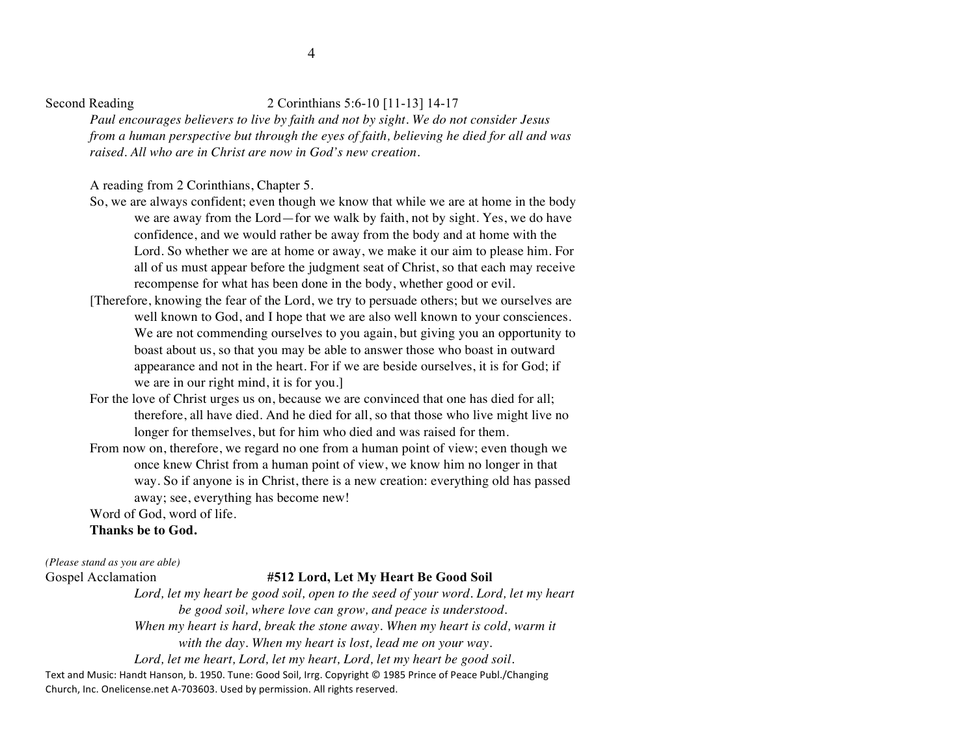#### Second Reading 2 Corinthians 5:6-10 [11-13] 14-17

*Paul encourages believers to live by faith and not by sight. We do not consider Jesus from a human perspective but through the eyes of faith, believing he died for all and was raised. All who are in Christ are now in God's new creation.*

A reading from 2 Corinthians, Chapter 5.

- So, we are always confident; even though we know that while we are at home in the body we are away from the Lord—for we walk by faith, not by sight. Yes, we do have confidence, and we would rather be away from the body and at home with the Lord. So whether we are at home or away, we make it our aim to please him. For all of us must appear before the judgment seat of Christ, so that each may receive recompense for what has been done in the body, whether good or evil.
- [Therefore, knowing the fear of the Lord, we try to persuade others; but we ourselves are well known to God, and I hope that we are also well known to your consciences. We are not commending ourselves to you again, but giving you an opportunity to boast about us, so that you may be able to answer those who boast in outward appearance and not in the heart. For if we are beside ourselves, it is for God; if we are in our right mind, it is for you.]
- For the love of Christ urges us on, because we are convinced that one has died for all; therefore, all have died. And he died for all, so that those who live might live no longer for themselves, but for him who died and was raised for them.
- From now on, therefore, we regard no one from a human point of view; even though we once knew Christ from a human point of view, we know him no longer in that way. So if anyone is in Christ, there is a new creation: everything old has passed away; see, everything has become new!

Word of God, word of life.

#### **Thanks be to God.**

*(Please stand as you are able)*

#### Gospel Acclamation **#512 Lord, Let My Heart Be Good Soil**

Lord, let my heart be good soil, open to the seed of your word. Lord, let my heart *be good soil, where love can grow, and peace is understood.* 

*When my heart is hard, break the stone away. When my heart is cold, warm it*

*with the day. When my heart is lost, lead me on your way.* 

*Lord, let me heart, Lord, let my heart, Lord, let my heart be good soil.*

Text and Music: Handt Hanson, b. 1950. Tune: Good Soil, Irrg. Copyright © 1985 Prince of Peace Publ./Changing Church, Inc. Onelicense.net A-703603. Used by permission. All rights reserved.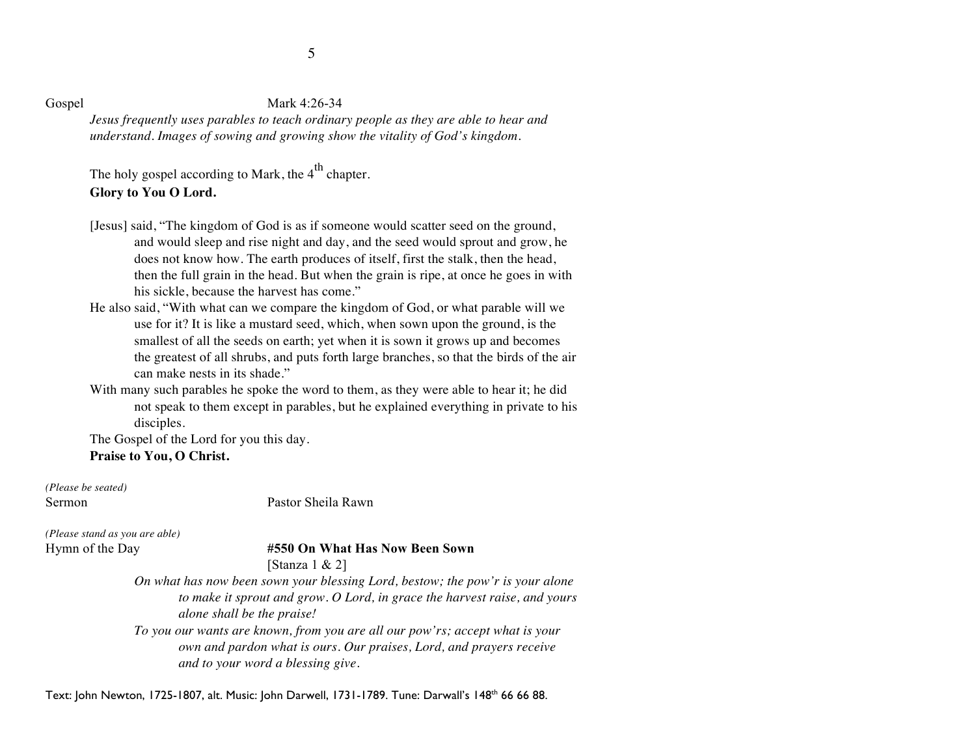#### Gospel Mark 4:26-34

*Jesus frequently uses parables to teach ordinary people as they are able to hear and understand. Images of sowing and growing show the vitality of God's kingdom.*

The holy gospel according to Mark, the  $4^{\text{th}}$  chapter. **Glory to You O Lord.**

- [Jesus] said, "The kingdom of God is as if someone would scatter seed on the ground, and would sleep and rise night and day, and the seed would sprout and grow, he does not know how. The earth produces of itself, first the stalk, then the head, then the full grain in the head. But when the grain is ripe, at once he goes in with his sickle, because the harvest has come."
- He also said, "With what can we compare the kingdom of God, or what parable will we use for it? It is like a mustard seed, which, when sown upon the ground, is the smallest of all the seeds on earth; yet when it is sown it grows up and becomes the greatest of all shrubs, and puts forth large branches, so that the birds of the air can make nests in its shade."
- With many such parables he spoke the word to them, as they were able to hear it; he did not speak to them except in parables, but he explained everything in private to his disciples.

The Gospel of the Lord for you this day.

**Praise to You, O Christ.**

*(Please be seated)*

Sermon Pastor Sheila Rawn

*(Please stand as you are able)*

#### Hymn of the Day **#550 On What Has Now Been Sown**

[Stanza 1 & 2]

*On what has now been sown your blessing Lord, bestow; the pow'r is your alone to make it sprout and grow. O Lord, in grace the harvest raise, and yours alone shall be the praise!*

*To you our wants are known, from you are all our pow'rs; accept what is your own and pardon what is ours. Our praises, Lord, and prayers receive and to your word a blessing give.*

Text: John Newton, 1725-1807, alt. Music: John Darwell, 1731-1789. Tune: Darwall's 148<sup>th</sup> 66 66 88.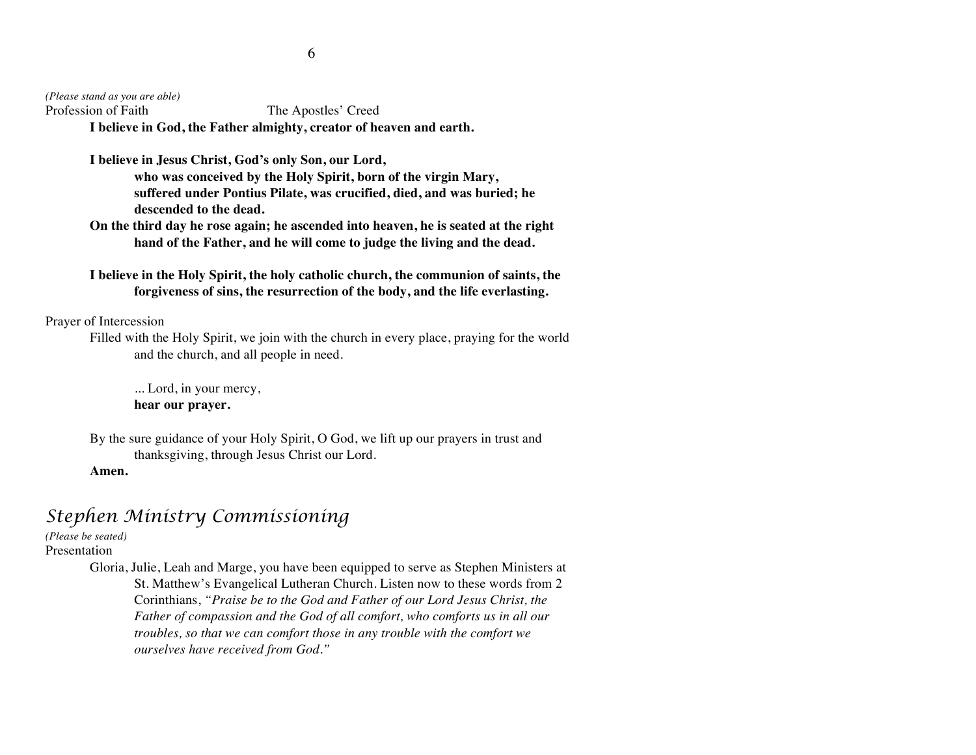*(Please stand as you are able)* Profession of Faith The Apostles' Creed **I believe in God, the Father almighty, creator of heaven and earth.**

> **I believe in Jesus Christ, God's only Son, our Lord, who was conceived by the Holy Spirit, born of the virgin Mary, suffered under Pontius Pilate, was crucified, died, and was buried; he descended to the dead.**

**On the third day he rose again; he ascended into heaven, he is seated at the right hand of the Father, and he will come to judge the living and the dead.**

**I believe in the Holy Spirit, the holy catholic church, the communion of saints, the forgiveness of sins, the resurrection of the body, and the life everlasting.**

Prayer of Intercession

Filled with the Holy Spirit, we join with the church in every place, praying for the world and the church, and all people in need.

... Lord, in your mercy, **hear our prayer.**

By the sure guidance of your Holy Spirit, O God, we lift up our prayers in trust and thanksgiving, through Jesus Christ our Lord.

**Amen.**

## *Stephen Ministry Commissioning*

*(Please be seated)*

Presentation

Gloria, Julie, Leah and Marge, you have been equipped to serve as Stephen Ministers at St. Matthew's Evangelical Lutheran Church. Listen now to these words from 2 Corinthians, *"Praise be to the God and Father of our Lord Jesus Christ, the Father of compassion and the God of all comfort, who comforts us in all our troubles, so that we can comfort those in any trouble with the comfort we ourselves have received from God."*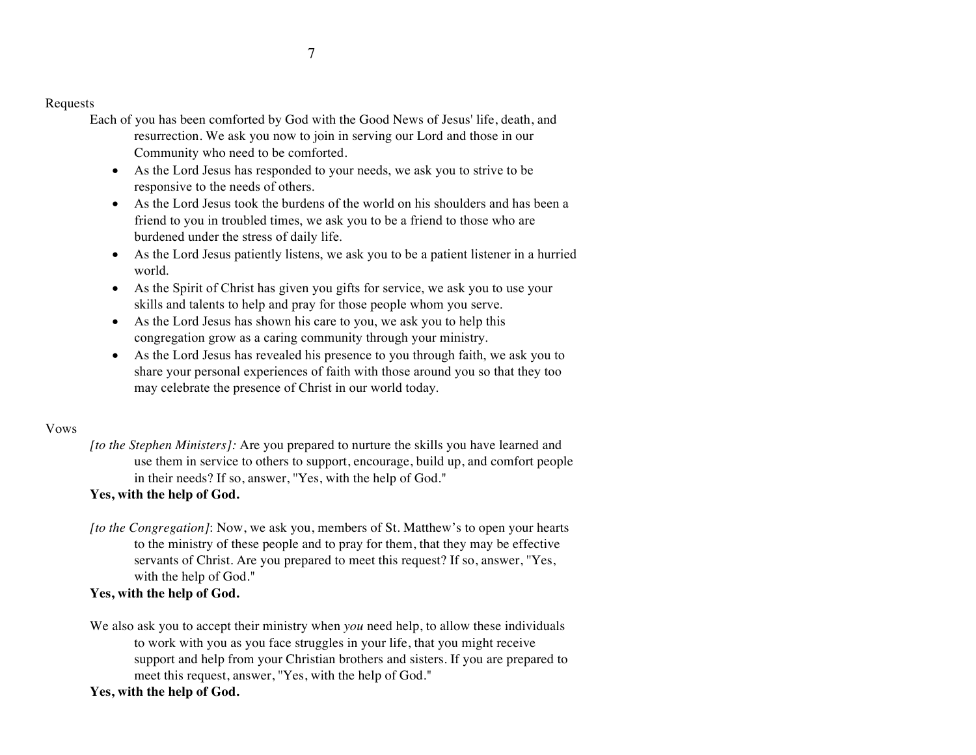Requests

- Each of you has been comforted by God with the Good News of Jesus' life, death, and resurrection. We ask you now to join in serving our Lord and those in our Community who need to be comforted.
	- As the Lord Jesus has responded to your needs, we ask you to strive to be responsive to the needs of others.
	- As the Lord Jesus took the burdens of the world on his shoulders and has been a friend to you in troubled times, we ask you to be a friend to those who are burdened under the stress of daily life.
	- As the Lord Jesus patiently listens, we ask you to be a patient listener in a hurried world.
	- As the Spirit of Christ has given you gifts for service, we ask you to use your skills and talents to help and pray for those people whom you serve.
	- As the Lord Jesus has shown his care to you, we ask you to help this congregation grow as a caring community through your ministry.
	- As the Lord Jesus has revealed his presence to you through faith, we ask you to share your personal experiences of faith with those around you so that they too may celebrate the presence of Christ in our world today.

#### Vows

*[to the Stephen Ministers]:* Are you prepared to nurture the skills you have learned and use them in service to others to support, encourage, build up, and comfort people in their needs? If so, answer, ''Yes, with the help of God."

### **Yes, with the help of God.**

*[to the Congregation]*: Now, we ask you, members of St. Matthew's to open your hearts to the ministry of these people and to pray for them, that they may be effective servants of Christ. Are you prepared to meet this request? If so, answer, ''Yes, with the help of God."

### **Yes, with the help of God.**

We also ask you to accept their ministry when *you* need help, to allow these individuals to work with you as you face struggles in your life, that you might receive support and help from your Christian brothers and sisters. If you are prepared to meet this request, answer, ''Yes, with the help of God."

### **Yes, with the help of God.**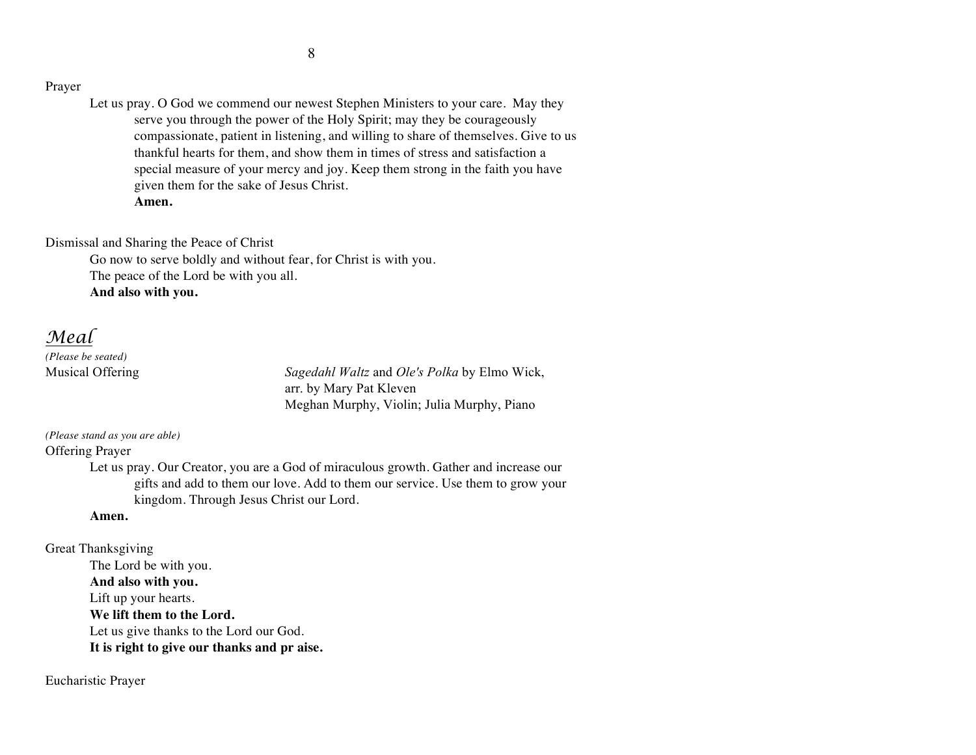#### Prayer

Let us pray. O God we commend our newest Stephen Ministers to your care. May they serve you through the power of the Holy Spirit; may they be courageously compassionate, patient in listening, and willing to share of themselves. Give to us thankful hearts for them, and show them in times of stress and satisfaction a special measure of your mercy and joy. Keep them strong in the faith you have given them for the sake of Jesus Christ. **Amen.**

Dismissal and Sharing the Peace of Christ

Go now to serve boldly and without fear, for Christ is with you. The peace of the Lord be with you all. **And also with you.**

*Meal*

*(Please be seated)*

Musical Offering *Sagedahl Waltz* and *Ole's Polka* by Elmo Wick, arr. by Mary Pat Kleven Meghan Murphy, Violin; Julia Murphy, Piano

*(Please stand as you are able)*

Offering Prayer

Let us pray. Our Creator, you are a God of miraculous growth. Gather and increase our gifts and add to them our love. Add to them our service. Use them to grow your kingdom. Through Jesus Christ our Lord.

#### **Amen.**

Great Thanksgiving The Lord be with you. **And also with you.** Lift up your hearts. **We lift them to the Lord.** Let us give thanks to the Lord our God. **It is right to give our thanks and pr aise.**

Eucharistic Prayer